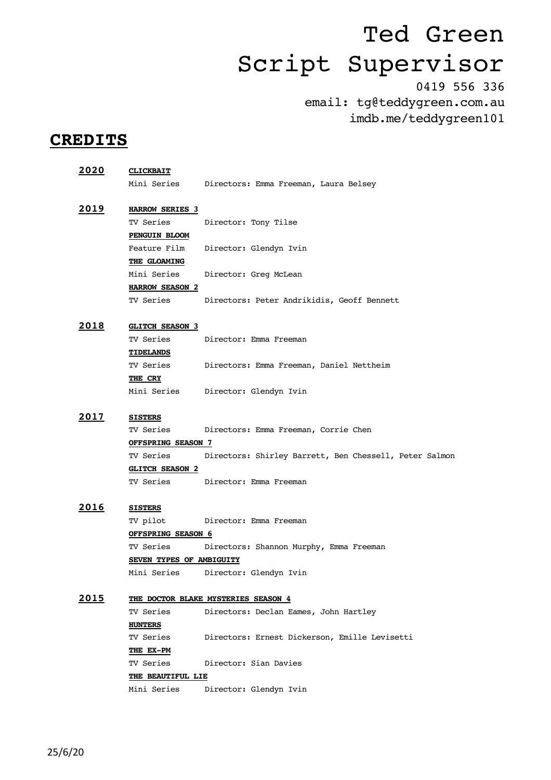0419 556 336 email: tg@teddygreen.com.au imdb.me/teddygreen101

### **CREDITS**

| 2020          | <b>CLICKBAIT</b>           |                                                        |  |
|---------------|----------------------------|--------------------------------------------------------|--|
|               |                            | Mini Series Directors: Emma Freeman, Laura Belsey      |  |
|               |                            |                                                        |  |
| <u> 2019 </u> | <b>HARROW SERIES 3</b>     |                                                        |  |
|               | TV Series                  | Director: Tony Tilse                                   |  |
|               | <b>PENGUIN BLOOM</b>       |                                                        |  |
|               | Feature Film               | Director: Glendyn Ivin                                 |  |
|               | THE GLOAMING               |                                                        |  |
|               |                            | Mini Series Director: Greg McLean                      |  |
|               | <b>HARROW SEASON 2</b>     |                                                        |  |
|               |                            | TV Series Directors: Peter Andrikidis, Geoff Bennett   |  |
|               |                            |                                                        |  |
| 2018          | <b>GLITCH SEASON 3</b>     |                                                        |  |
|               | TV Series                  | Director: Emma Freeman                                 |  |
|               | <b>TIDELANDS</b>           |                                                        |  |
|               |                            | TV Series Directors: Emma Freeman, Daniel Nettheim     |  |
|               | THE CRY                    |                                                        |  |
|               |                            | Mini Series Director: Glendyn Ivin                     |  |
|               |                            |                                                        |  |
| <u> 2017 </u> | <b>SISTERS</b>             |                                                        |  |
|               |                            | TV Series Directors: Emma Freeman, Corrie Chen         |  |
|               | <b>OFFSPRING SEASON 7</b>  |                                                        |  |
|               | TV Series                  | Directors: Shirley Barrett, Ben Chessell, Peter Salmon |  |
|               | <b>GLITCH SEASON 2</b>     |                                                        |  |
|               |                            | TV Series Director: Emma Freeman                       |  |
| <u> 2016</u>  |                            |                                                        |  |
|               | <b>SISTERS</b><br>TV pilot | Director: Emma Freeman                                 |  |
|               | OFFSPRING SEASON 6         |                                                        |  |
|               | TV Series                  | Directors: Shannon Murphy, Emma Freeman                |  |
|               | SEVEN TYPES OF AMBIGUITY   |                                                        |  |
|               | Mini Series                | Director: Glendyn Ivin                                 |  |
|               |                            |                                                        |  |
| 2015          |                            | THE DOCTOR BLAKE MYSTERIES SEASON 4                    |  |
|               | TV Series                  | Directors: Declan Eames, John Hartley                  |  |
|               | <b>HUNTERS</b>             |                                                        |  |
|               | TV Series                  | Directors: Ernest Dickerson, Emille Levisetti          |  |
|               | THE EX-PM                  |                                                        |  |
|               | TV Series                  | Director: Sian Davies                                  |  |
|               | THE BEAUTIFUL LIE          |                                                        |  |
|               | Mini Series                | Director: Glendyn Ivin                                 |  |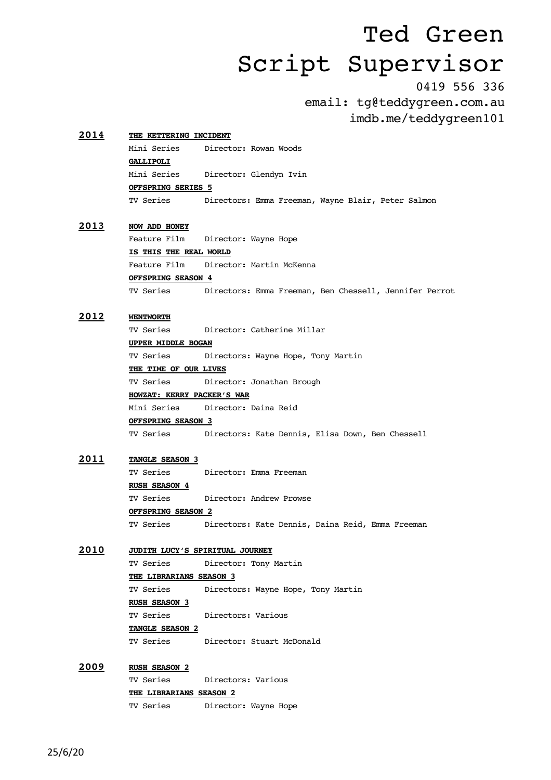0419 556 336

email: tg@teddygreen.com.au imdb.me/teddygreen101

| 2014         |                                 | THE KETTERING INCIDENT                                 |  |  |
|--------------|---------------------------------|--------------------------------------------------------|--|--|
|              | Mini Series                     | Director: Rowan Woods                                  |  |  |
|              | <b>GALLIPOLI</b>                |                                                        |  |  |
|              | Mini Series                     | Director: Glendyn Ivin                                 |  |  |
|              | <u>OFFSPRING SERIES 5</u>       |                                                        |  |  |
|              | TV Series                       | Directors: Emma Freeman, Wayne Blair, Peter Salmon     |  |  |
| 2013         | <b>NOW ADD HONEY</b>            |                                                        |  |  |
|              | Feature Film                    | Director: Wayne Hope                                   |  |  |
|              | IS THIS THE REAL WORLD          |                                                        |  |  |
|              | Feature Film                    | Director: Martin McKenna                               |  |  |
|              | OFFSPRING SEASON 4              |                                                        |  |  |
|              | TV Series                       | Directors: Emma Freeman, Ben Chessell, Jennifer Perrot |  |  |
| 2012         | <b>WENTWORTH</b>                |                                                        |  |  |
|              | TV Series                       | Director: Catherine Millar                             |  |  |
|              | <b>UPPER MIDDLE BOGAN</b>       |                                                        |  |  |
|              | TV Series                       | Directors: Wayne Hope, Tony Martin                     |  |  |
|              | THE TIME OF OUR LIVES           |                                                        |  |  |
|              | TV Series                       | Director: Jonathan Brough                              |  |  |
|              | HOWZAT: KERRY PACKER'S WAR      |                                                        |  |  |
|              | Mini Series                     | Director: Daina Reid                                   |  |  |
|              | <b>OFFSPRING SEASON 3</b>       |                                                        |  |  |
|              | TV Series                       | Directors: Kate Dennis, Elisa Down, Ben Chessell       |  |  |
| 2011         | TANGLE SEASON 3                 |                                                        |  |  |
|              | TV Series                       | Director: Emma Freeman                                 |  |  |
|              | <b>RUSH SEASON 4</b>            |                                                        |  |  |
|              | TV Series                       | Director: Andrew Prowse                                |  |  |
|              | <b>OFFSPRING SEASON 2</b>       |                                                        |  |  |
|              | TV Series                       | Directors: Kate Dennis, Daina Reid, Emma Freeman       |  |  |
| 2010         | JUDITH LUCY'S SPIRITUAL JOURNEY |                                                        |  |  |
|              | TV Series                       | Director: Tony Martin                                  |  |  |
|              | THE LIBRARIANS SEASON 3         |                                                        |  |  |
|              | TV Series                       | Directors: Wayne Hope, Tony Martin                     |  |  |
|              | <b>RUSH SEASON 3</b>            |                                                        |  |  |
|              | TV Series                       | Directors: Various                                     |  |  |
|              | TANGLE SEASON 2                 |                                                        |  |  |
|              |                                 | TV Series Director: Stuart McDonald                    |  |  |
| <u> 2009</u> | <b>RUSH SEASON 2</b>            |                                                        |  |  |
|              | TV Series                       | Directors: Various                                     |  |  |
|              | <b>THE LIBRARIANS SEASON 2</b>  |                                                        |  |  |
|              | TV Series                       | Director: Wayne Hope                                   |  |  |
|              |                                 |                                                        |  |  |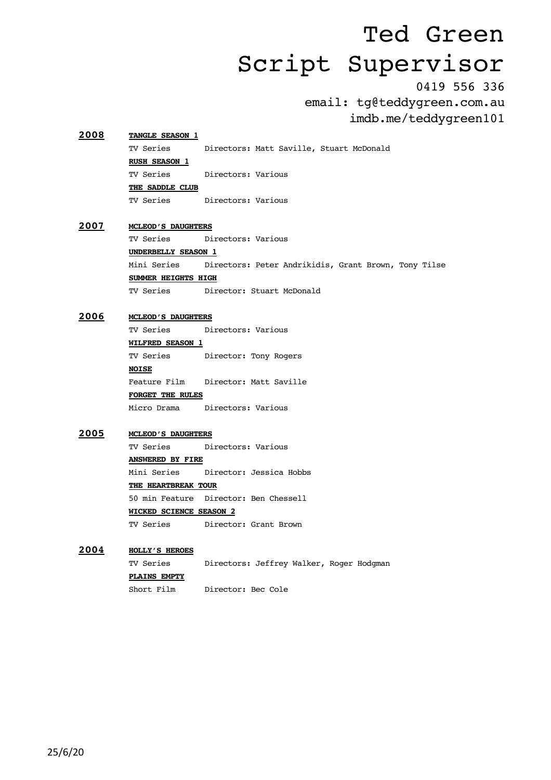0419 556 336

email: tg@teddygreen.com.au imdb.me/teddygreen101

### **2008 TANGLE SEASON 1** TV Series Directors: Matt Saville, Stuart McDonald **RUSH SEASON 1** TV Series Directors: Various **THE SADDLE CLUB** TV Series Directors: Various

**2007 MCLEOD'S DAUGHTERS** TV Series Directors: Various **UNDERBELLY SEASON 1** Mini Series Directors: Peter Andrikidis, Grant Brown, Tony Tilse **SUMMER HEIGHTS HIGH** TV Series Director: Stuart McDonald

#### **2006 MCLEOD'S DAUGHTERS**

TV Series Directors: Various

**WILFRED SEASON 1**

TV Series Director: Tony Rogers

**NOISE** Feature Film Director: Matt Saville **FORGET THE RULES**

Micro Drama Directors: Various

#### **2005 MCLEOD'S DAUGHTERS**

TV Series Directors: Various

**ANSWERED BY FIRE** Mini Series Director: Jessica Hobbs

**THE HEARTBREAK TOUR**

50 min Feature Director: Ben Chessell **WICKED SCIENCE SEASON 2** TV Series Director: Grant Brown

### **2004 HOLLY'S HEROES**

TV Series Directors: Jeffrey Walker, Roger Hodgman **PLAINS EMPTY**

Short Film Director: Bec Cole